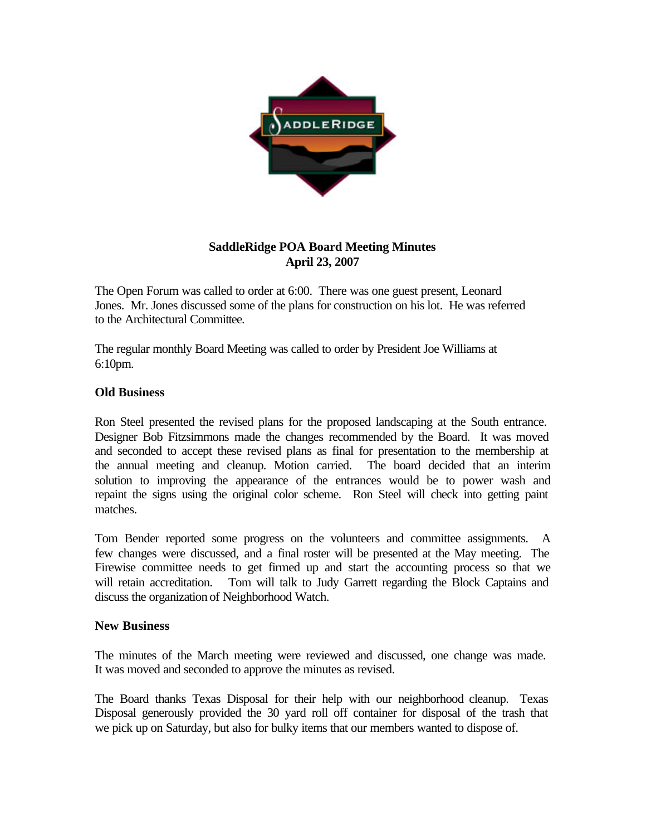

## **SaddleRidge POA Board Meeting Minutes April 23, 2007**

The Open Forum was called to order at 6:00. There was one guest present, Leonard Jones. Mr. Jones discussed some of the plans for construction on his lot. He was referred to the Architectural Committee.

The regular monthly Board Meeting was called to order by President Joe Williams at 6:10pm.

## **Old Business**

Ron Steel presented the revised plans for the proposed landscaping at the South entrance. Designer Bob Fitzsimmons made the changes recommended by the Board. It was moved and seconded to accept these revised plans as final for presentation to the membership at the annual meeting and cleanup. Motion carried. The board decided that an interim solution to improving the appearance of the entrances would be to power wash and repaint the signs using the original color scheme. Ron Steel will check into getting paint matches.

Tom Bender reported some progress on the volunteers and committee assignments. A few changes were discussed, and a final roster will be presented at the May meeting. The Firewise committee needs to get firmed up and start the accounting process so that we will retain accreditation. Tom will talk to Judy Garrett regarding the Block Captains and discuss the organization of Neighborhood Watch.

## **New Business**

The minutes of the March meeting were reviewed and discussed, one change was made. It was moved and seconded to approve the minutes as revised.

The Board thanks Texas Disposal for their help with our neighborhood cleanup. Texas Disposal generously provided the 30 yard roll off container for disposal of the trash that we pick up on Saturday, but also for bulky items that our members wanted to dispose of.